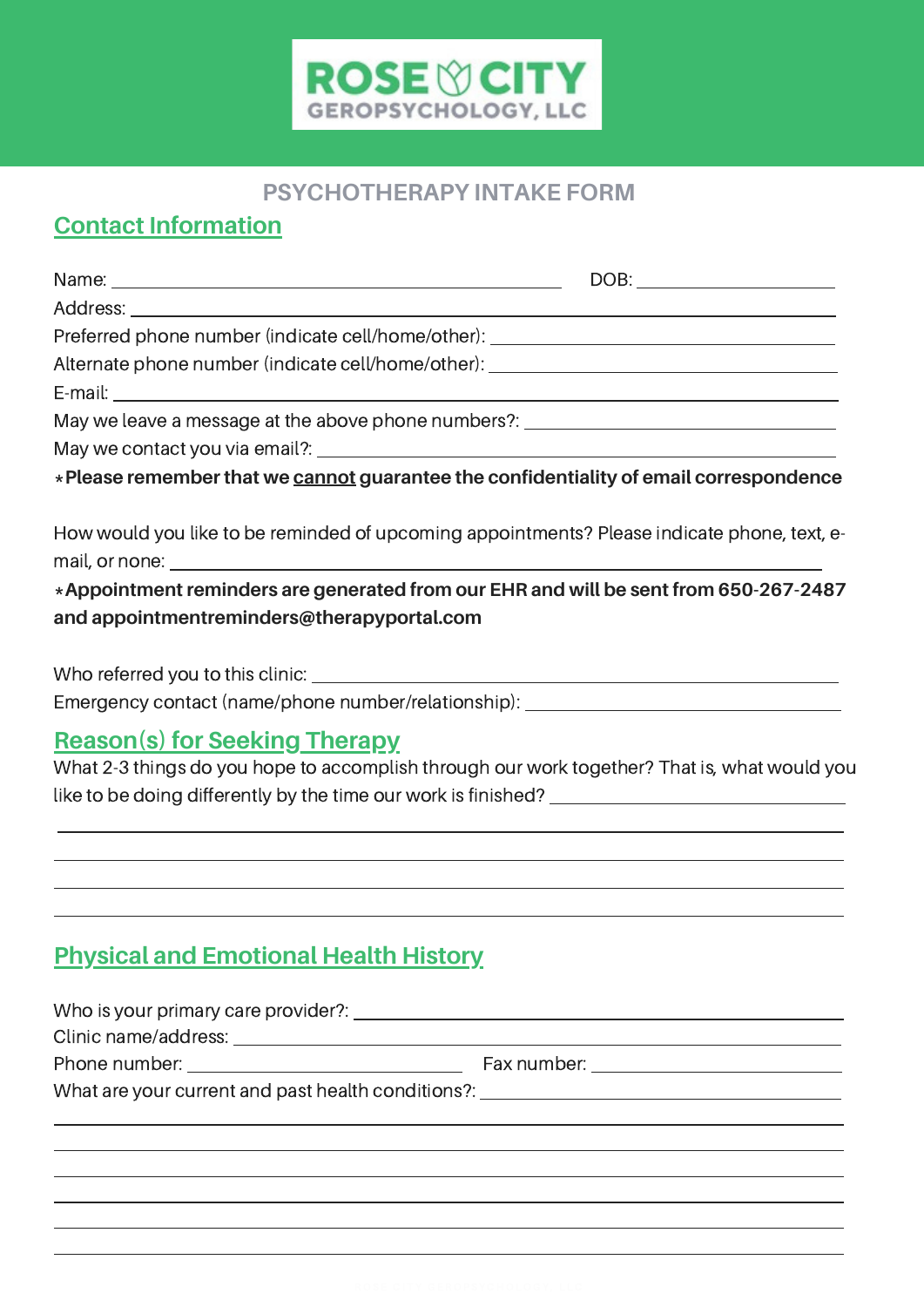

#### **PSYCHOTHERAPY INTAKE FORM**

## **Contact Information**

| Name: Name and the second contract of the second contract of the second contract of the second contract of the second contract of the second contract of the second contract of the second contract of the second contract of |  |
|-------------------------------------------------------------------------------------------------------------------------------------------------------------------------------------------------------------------------------|--|
|                                                                                                                                                                                                                               |  |
| Preferred phone number (indicate cell/home/other): _____________________________                                                                                                                                              |  |
| Alternate phone number (indicate cell/home/other): _____________________________                                                                                                                                              |  |
|                                                                                                                                                                                                                               |  |
| May we leave a message at the above phone numbers?: ____________________________                                                                                                                                              |  |
|                                                                                                                                                                                                                               |  |
| *Please remember that we cannot guarantee the confidentiality of email correspondence                                                                                                                                         |  |
| How would you like to be reminded of upcoming appointments? Please indicate phone, text, e-                                                                                                                                   |  |
| *Appointment reminders are generated from our EHR and will be sent from 650-267-2487                                                                                                                                          |  |
| and appointmentreminders@therapyportal.com                                                                                                                                                                                    |  |
|                                                                                                                                                                                                                               |  |
| Emergency contact (name/phone number/relationship): ____________________________                                                                                                                                              |  |

### **Reason(s) for Seeking Therapy**

 $\overline{a}$  $\overline{a}$ 

What 2-3 things do you hope to accomplish through our work together? That is, what would you like to be doing differently by the time our work is finished? \_\_\_\_\_\_\_\_\_\_\_\_\_\_\_\_\_\_

# **Physical and Emotional Health History**

| What are your current and past health conditions?: _____________________________ |  |
|----------------------------------------------------------------------------------|--|
|                                                                                  |  |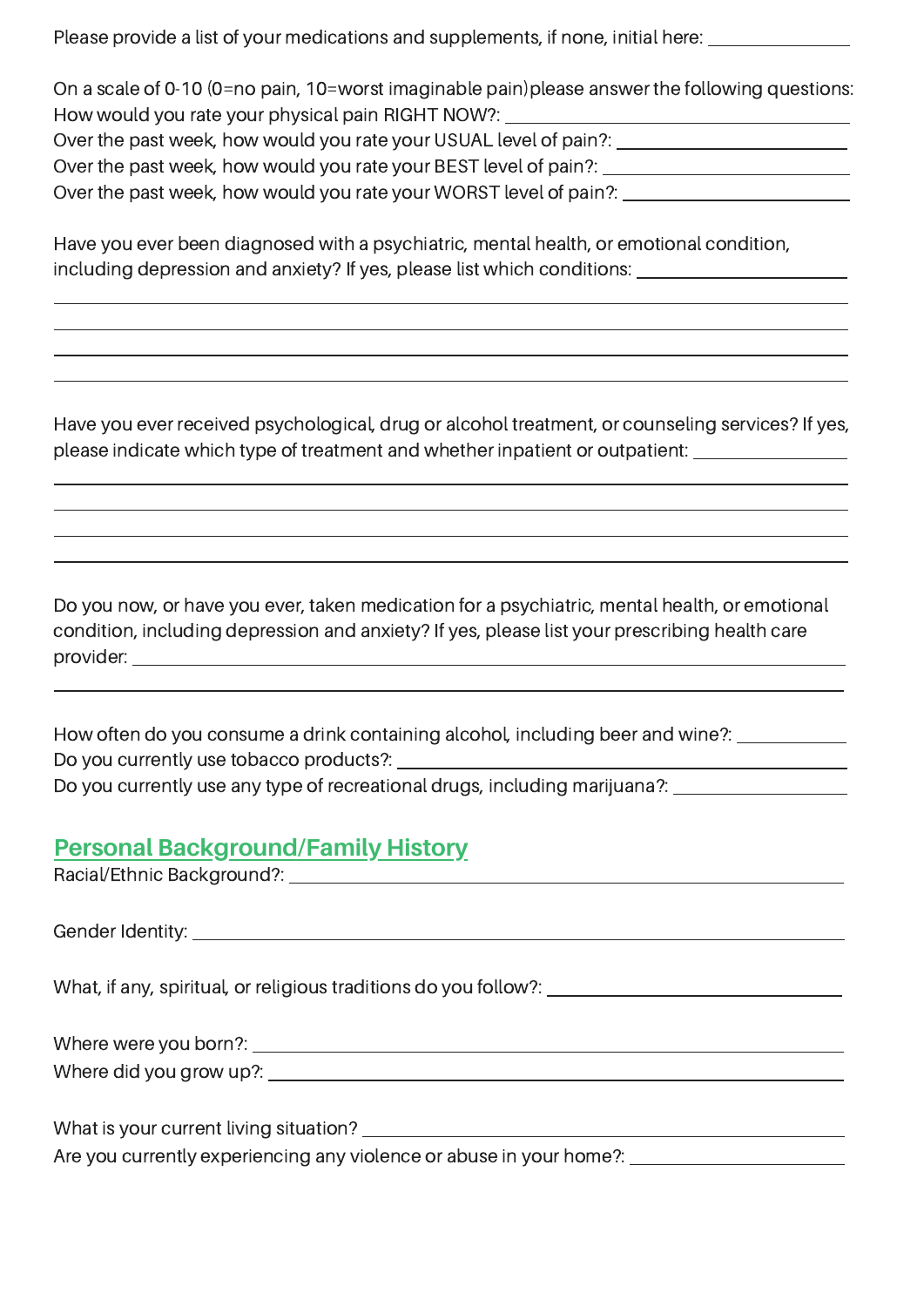Please provide a list of your medications and supplements, if none, initial here: where  $\frac{1}{2}$ 

On a scale of 0-10 (0=no pain, 10=worst imaginable pain)please answer the following questions: How would you rate your physical pain RIGHT NOW?: Over the past week, how would you rate your USUAL level of pain?: Over the past week, how would you rate your BEST level of pain?: Over the past week, how would you rate your WORST level of pain?:

Have you ever been diagnosed with a psychiatric, mental health, or emotional condition, including depression and anxiety? If yes, please list which conditions:

Have you ever received psychological, drug or alcohol treatment, or counseling services? If yes, please indicate which type of treatment and whether inpatient or outpatient:

Do you now, or have you ever, taken medication for a psychiatric, mental health, or emotional condition, including depression and anxiety? If yes, please list your prescribing health care provider:

How often do you consume a drink containing alcohol, including beer and wine?: Do you currently use tobacco products?: Do you currently use any type of recreational drugs, including marijuana?:

#### **Personal Background/Family History**

**Racial/Ethnic Background?:** 

Gender Identity: Contract of the Contract of the Contract of the Contract of the Contract of the Contract of the Contract of the Contract of the Contract of the Contract of the Contract of the Contract of the Contract of t

 $\overline{a}$ 

 $\overline{a}$ 

 $\overline{a}$ 

What, if any, spiritual, or religious traditions do you follow?: \_\_\_\_\_\_\_\_\_\_\_\_\_\_\_\_

Where were you born?: Where did you grow up?: University of the state of the state of the state of the state of the state of the state of the state of the state of the state of the state of the state of the state of the state of the state of th

What is your current living situation?

Are you currently experiencing any violence or abuse in your home?: \_\_\_\_\_\_\_\_\_\_\_\_